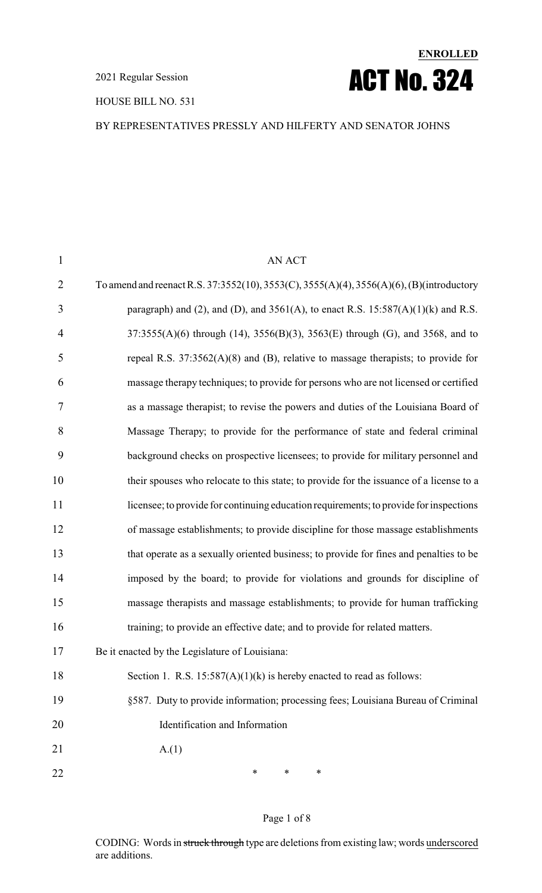HOUSE BILL NO. 531



#### BY REPRESENTATIVES PRESSLY AND HILFERTY AND SENATOR JOHNS

| $\mathbf{1}$   | <b>AN ACT</b>                                                                            |
|----------------|------------------------------------------------------------------------------------------|
| $\overline{2}$ | To amend and reenact R.S. 37:3552(10), 3553(C), 3555(A)(4), 3556(A)(6), (B)(introductory |
| 3              | paragraph) and (2), and (D), and $3561(A)$ , to enact R.S. $15:587(A)(1)(k)$ and R.S.    |
| $\overline{4}$ | 37:3555(A)(6) through (14), 3556(B)(3), 3563(E) through (G), and 3568, and to            |
| 5              | repeal R.S. $37:3562(A)(8)$ and (B), relative to massage therapists; to provide for      |
| 6              | massage therapy techniques; to provide for persons who are not licensed or certified     |
| 7              | as a massage therapist; to revise the powers and duties of the Louisiana Board of        |
| 8              | Massage Therapy; to provide for the performance of state and federal criminal            |
| 9              | background checks on prospective licensees; to provide for military personnel and        |
| 10             | their spouses who relocate to this state; to provide for the issuance of a license to a  |
| 11             | licensee; to provide for continuing education requirements; to provide for inspections   |
| 12             | of massage establishments; to provide discipline for those massage establishments        |
| 13             | that operate as a sexually oriented business; to provide for fines and penalties to be   |
| 14             | imposed by the board; to provide for violations and grounds for discipline of            |
| 15             | massage therapists and massage establishments; to provide for human trafficking          |
| 16             | training; to provide an effective date; and to provide for related matters.              |
| 17             | Be it enacted by the Legislature of Louisiana:                                           |
| 18             | Section 1. R.S. $15:587(A)(1)(k)$ is hereby enacted to read as follows:                  |
| 19             | §587. Duty to provide information; processing fees; Louisiana Bureau of Criminal         |
| 20             | Identification and Information                                                           |
| 21             | A(1)                                                                                     |
| 22             | $\ast$<br>∗<br>∗                                                                         |

Page 1 of 8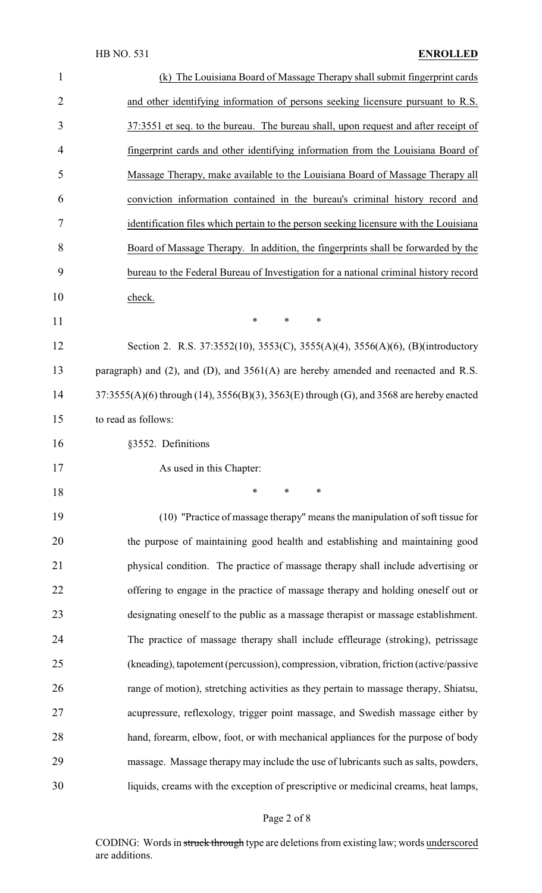| $\mathbf{1}$   | (k) The Louisiana Board of Massage Therapy shall submit fingerprint cards                |
|----------------|------------------------------------------------------------------------------------------|
| $\overline{2}$ | and other identifying information of persons seeking licensure pursuant to R.S.          |
| 3              | 37:3551 et seq. to the bureau. The bureau shall, upon request and after receipt of       |
| 4              | fingerprint cards and other identifying information from the Louisiana Board of          |
| 5              | Massage Therapy, make available to the Louisiana Board of Massage Therapy all            |
| 6              | conviction information contained in the bureau's criminal history record and             |
| 7              | identification files which pertain to the person seeking licensure with the Louisiana    |
| 8              | Board of Massage Therapy. In addition, the fingerprints shall be forwarded by the        |
| 9              | bureau to the Federal Bureau of Investigation for a national criminal history record     |
| 10             | check.                                                                                   |
| 11             | *<br>$\ast$<br>$\ast$                                                                    |
| 12             | Section 2. R.S. 37:3552(10), 3553(C), 3555(A)(4), 3556(A)(6), (B)(introductory           |
| 13             | paragraph) and (2), and (D), and $3561(A)$ are hereby amended and reenacted and R.S.     |
| 14             | 37:3555(A)(6) through (14), 3556(B)(3), 3563(E) through (G), and 3568 are hereby enacted |
| 15             | to read as follows:                                                                      |
| 16             | §3552. Definitions                                                                       |
| 17             | As used in this Chapter:                                                                 |
| 18             | $\ast$<br>*<br>∗                                                                         |
| 19             | (10) "Practice of massage therapy" means the manipulation of soft tissue for             |
| 20             | the purpose of maintaining good health and establishing and maintaining good             |
| 21             | physical condition. The practice of massage therapy shall include advertising or         |
| 22             | offering to engage in the practice of massage therapy and holding oneself out or         |
| 23             | designating oneself to the public as a massage therapist or massage establishment.       |
| 24             | The practice of massage therapy shall include effleurage (stroking), petrissage          |
| 25             | (kneading), tapotement (percussion), compression, vibration, friction (active/passive    |
| 26             | range of motion), stretching activities as they pertain to massage therapy, Shiatsu,     |
| 27             | acupressure, reflexology, trigger point massage, and Swedish massage either by           |
| 28             | hand, forearm, elbow, foot, or with mechanical appliances for the purpose of body        |
| 29             | massage. Massage therapy may include the use of lubricants such as salts, powders,       |
| 30             | liquids, creams with the exception of prescriptive or medicinal creams, heat lamps,      |

# Page 2 of 8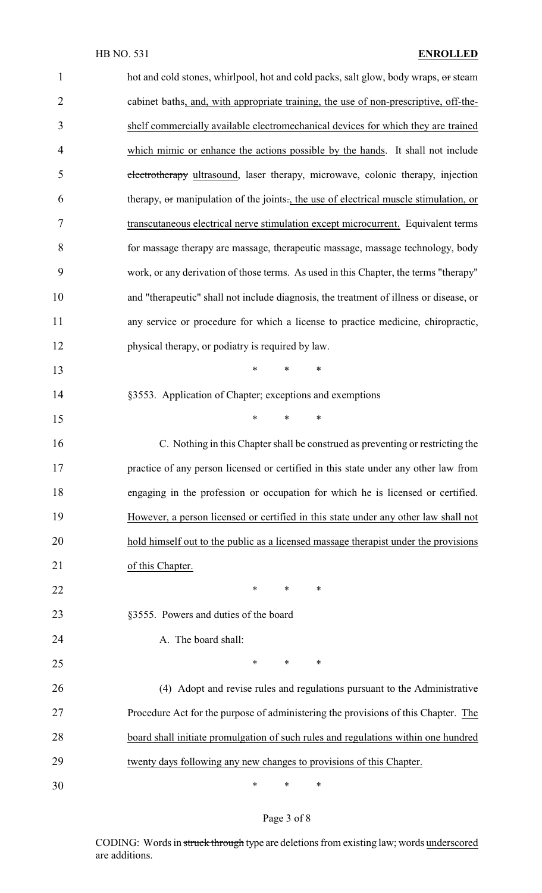| $\mathbf{1}$   | hot and cold stones, whirlpool, hot and cold packs, salt glow, body wraps, or steam    |
|----------------|----------------------------------------------------------------------------------------|
| $\overline{2}$ | cabinet baths, and, with appropriate training, the use of non-prescriptive, off-the-   |
| 3              | shelf commercially available electromechanical devices for which they are trained      |
| 4              | which mimic or enhance the actions possible by the hands. It shall not include         |
| 5              | electrotherapy ultrasound, laser therapy, microwave, colonic therapy, injection        |
| 6              | therapy, or manipulation of the joints., the use of electrical muscle stimulation, or  |
| 7              | transcutaneous electrical nerve stimulation except microcurrent. Equivalent terms      |
| 8              | for massage therapy are massage, therapeutic massage, massage technology, body         |
| 9              | work, or any derivation of those terms. As used in this Chapter, the terms "therapy"   |
| 10             | and "therapeutic" shall not include diagnosis, the treatment of illness or disease, or |
| 11             | any service or procedure for which a license to practice medicine, chiropractic,       |
| 12             | physical therapy, or podiatry is required by law.                                      |
| 13             | $\ast$<br>$\ast$<br>∗                                                                  |
| 14             | §3553. Application of Chapter; exceptions and exemptions                               |
| 15             | $\ast$<br>$\ast$<br>$\ast$                                                             |
| 16             | C. Nothing in this Chapter shall be construed as preventing or restricting the         |
| 17             | practice of any person licensed or certified in this state under any other law from    |
| 18             | engaging in the profession or occupation for which he is licensed or certified.        |
| 19             | However, a person licensed or certified in this state under any other law shall not    |
| 20             | hold himself out to the public as a licensed massage therapist under the provisions    |
| 21             | of this Chapter.                                                                       |
| 22             | $\ast$<br>∗<br>∗                                                                       |
| 23             | §3555. Powers and duties of the board                                                  |
| 24             | A. The board shall:                                                                    |
| 25             | ∗<br>$\ast$<br>∗                                                                       |
| 26             | (4) Adopt and revise rules and regulations pursuant to the Administrative              |
| 27             | Procedure Act for the purpose of administering the provisions of this Chapter. The     |
| 28             | board shall initiate promulgation of such rules and regulations within one hundred     |
| 29             | twenty days following any new changes to provisions of this Chapter.                   |
| 30             | ∗<br>$\ast$<br>∗                                                                       |

# Page 3 of 8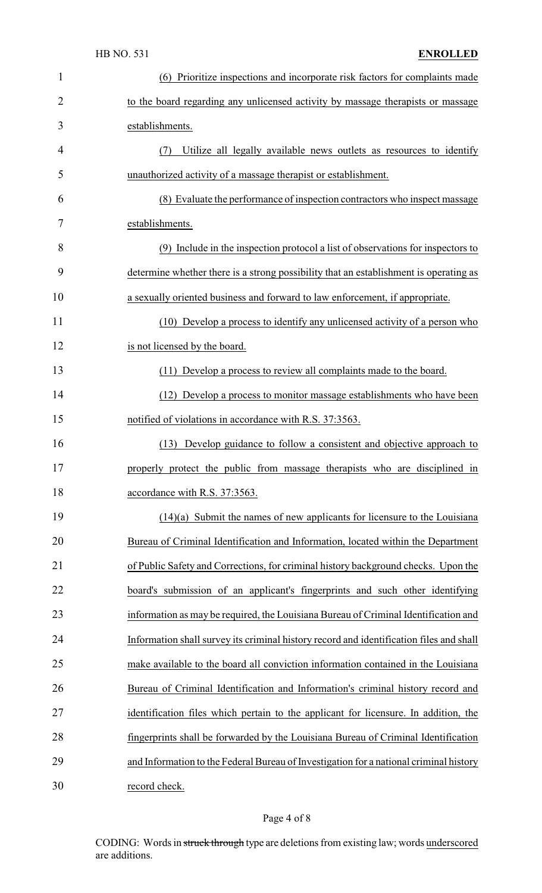| 1              | (6) Prioritize inspections and incorporate risk factors for complaints made             |
|----------------|-----------------------------------------------------------------------------------------|
| $\overline{2}$ | to the board regarding any unlicensed activity by massage therapists or massage         |
| 3              | establishments.                                                                         |
| 4              | Utilize all legally available news outlets as resources to identify<br>(7)              |
| 5              | unauthorized activity of a massage therapist or establishment.                          |
| 6              | (8) Evaluate the performance of inspection contractors who inspect massage              |
| 7              | establishments.                                                                         |
| 8              | (9) Include in the inspection protocol a list of observations for inspectors to         |
| 9              | determine whether there is a strong possibility that an establishment is operating as   |
| 10             | a sexually oriented business and forward to law enforcement, if appropriate.            |
| 11             | (10) Develop a process to identify any unlicensed activity of a person who              |
| 12             | is not licensed by the board.                                                           |
| 13             | (11) Develop a process to review all complaints made to the board.                      |
| 14             | (12) Develop a process to monitor massage establishments who have been                  |
| 15             | notified of violations in accordance with R.S. 37:3563.                                 |
| 16             | (13) Develop guidance to follow a consistent and objective approach to                  |
| 17             | properly protect the public from massage therapists who are disciplined in              |
| 18             | accordance with R.S. 37:3563.                                                           |
| 19             | $(14)(a)$ Submit the names of new applicants for licensure to the Louisiana             |
| 20             | Bureau of Criminal Identification and Information, located within the Department        |
| 21             | of Public Safety and Corrections, for criminal history background checks. Upon the      |
| 22             | board's submission of an applicant's fingerprints and such other identifying            |
| 23             | information as may be required, the Louisiana Bureau of Criminal Identification and     |
| 24             | Information shall survey its criminal history record and identification files and shall |
| 25             | make available to the board all conviction information contained in the Louisiana       |
| 26             | Bureau of Criminal Identification and Information's criminal history record and         |
| 27             | identification files which pertain to the applicant for licensure. In addition, the     |
| 28             | fingerprints shall be forwarded by the Louisiana Bureau of Criminal Identification      |
| 29             | and Information to the Federal Bureau of Investigation for a national criminal history  |
| 30             | record check.                                                                           |

# Page 4 of 8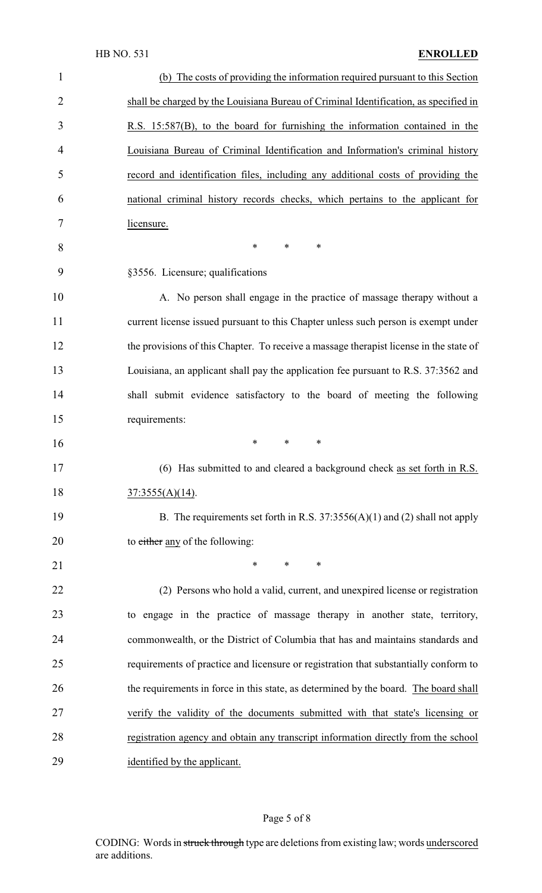#### HB NO. 531 **ENROLLED**

| $\mathbf{1}$   | (b) The costs of providing the information required pursuant to this Section           |
|----------------|----------------------------------------------------------------------------------------|
| $\overline{2}$ | shall be charged by the Louisiana Bureau of Criminal Identification, as specified in   |
| 3              | R.S. 15:587(B), to the board for furnishing the information contained in the           |
| $\overline{4}$ | Louisiana Bureau of Criminal Identification and Information's criminal history         |
| 5              | record and identification files, including any additional costs of providing the       |
| 6              | national criminal history records checks, which pertains to the applicant for          |
| 7              | licensure.                                                                             |
| 8              | $\ast$<br>$\ast$<br>$\ast$                                                             |
| 9              | §3556. Licensure; qualifications                                                       |
| 10             | A. No person shall engage in the practice of massage therapy without a                 |
| 11             | current license issued pursuant to this Chapter unless such person is exempt under     |
| 12             | the provisions of this Chapter. To receive a massage therapist license in the state of |
| 13             | Louisiana, an applicant shall pay the application fee pursuant to R.S. 37:3562 and     |
| 14             | shall submit evidence satisfactory to the board of meeting the following               |
| 15             | requirements:                                                                          |
| 16             | $\ast$<br>$\ast$<br>∗                                                                  |
| 17             | (6) Has submitted to and cleared a background check as set forth in R.S.               |
| 18             | $37:3555(A)(14)$ .                                                                     |
| 19             | B. The requirements set forth in R.S. $37:3556(A)(1)$ and (2) shall not apply          |
| 20             | to either any of the following:                                                        |
| 21             | $\ast$<br>$\ast$<br>$\ast$                                                             |
| 22             | (2) Persons who hold a valid, current, and unexpired license or registration           |
| 23             | to engage in the practice of massage therapy in another state, territory,              |
| 24             | commonwealth, or the District of Columbia that has and maintains standards and         |
| 25             | requirements of practice and licensure or registration that substantially conform to   |
| 26             | the requirements in force in this state, as determined by the board. The board shall   |
| 27             | verify the validity of the documents submitted with that state's licensing or          |
| 28             | registration agency and obtain any transcript information directly from the school     |
| 29             | identified by the applicant.                                                           |
|                |                                                                                        |

# Page 5 of 8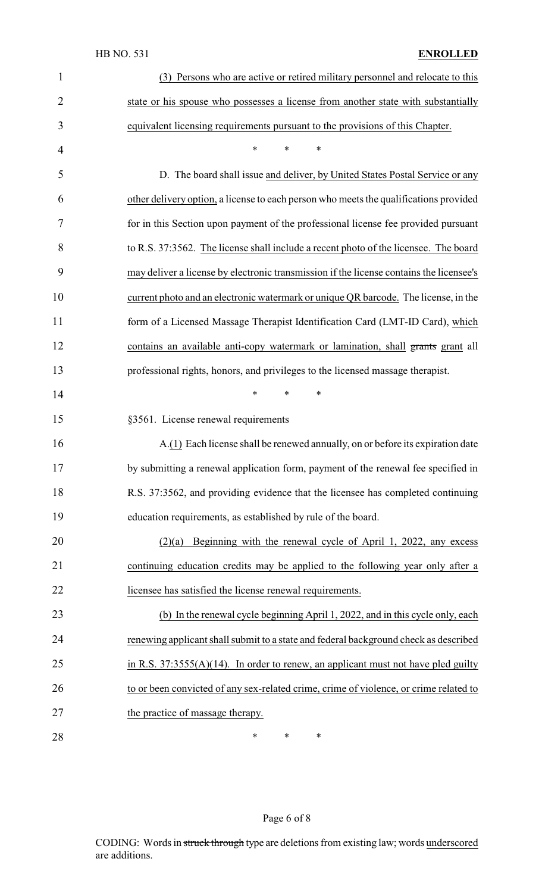#### HB NO. 531 **ENROLLED**

| $\mathbf{1}$   | (3) Persons who are active or retired military personnel and relocate to this           |
|----------------|-----------------------------------------------------------------------------------------|
| $\overline{2}$ | state or his spouse who possesses a license from another state with substantially       |
| 3              | equivalent licensing requirements pursuant to the provisions of this Chapter.           |
| $\overline{4}$ | *<br>*<br>∗                                                                             |
| 5              | D. The board shall issue and deliver, by United States Postal Service or any            |
| 6              | other delivery option, a license to each person who meets the qualifications provided   |
| 7              | for in this Section upon payment of the professional license fee provided pursuant      |
| 8              | to R.S. 37:3562. The license shall include a recent photo of the licensee. The board    |
| 9              | may deliver a license by electronic transmission if the license contains the licensee's |
| 10             | current photo and an electronic watermark or unique QR barcode. The license, in the     |
| 11             | form of a Licensed Massage Therapist Identification Card (LMT-ID Card), which           |
| 12             | contains an available anti-copy watermark or lamination, shall grants grant all         |
| 13             | professional rights, honors, and privileges to the licensed massage therapist.          |
| 14             | *<br>*<br>∗                                                                             |
| 15             | §3561. License renewal requirements                                                     |
| 16             | A.(1) Each license shall be renewed annually, on or before its expiration date          |
| 17             | by submitting a renewal application form, payment of the renewal fee specified in       |
| 18             | R.S. 37:3562, and providing evidence that the licensee has completed continuing         |
| 19             | education requirements, as established by rule of the board.                            |
| 20             | Beginning with the renewal cycle of April 1, 2022, any excess<br>(2)(a)                 |
| 21             | continuing education credits may be applied to the following year only after a          |
| 22             | licensee has satisfied the license renewal requirements.                                |
| 23             | (b) In the renewal cycle beginning April 1, 2022, and in this cycle only, each          |
| 24             | renewing applicant shall submit to a state and federal background check as described    |
| 25             | in R.S. $37:3555(A)(14)$ . In order to renew, an applicant must not have pled guilty    |
| 26             | to or been convicted of any sex-related crime, crime of violence, or crime related to   |
| 27             | the practice of massage therapy.                                                        |
| 28             | $\ast$<br>∗<br>$\ast$                                                                   |

# Page 6 of 8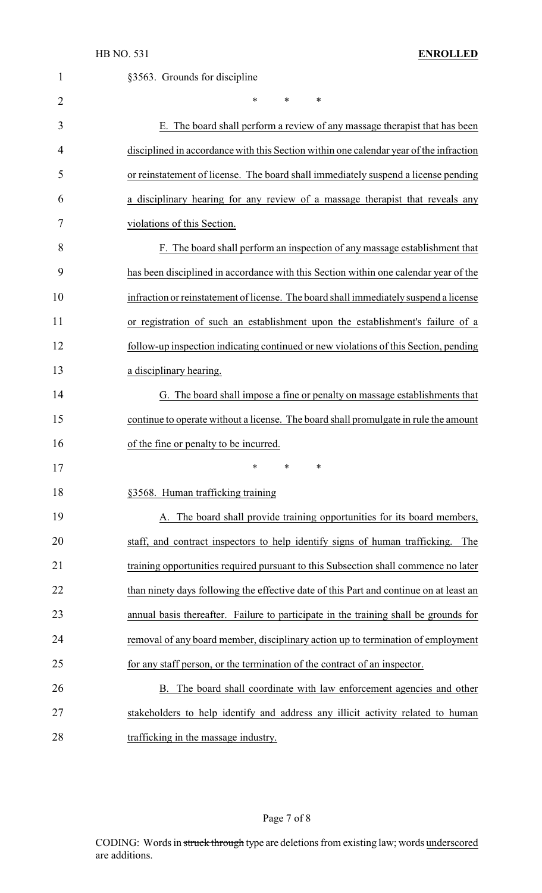| $\mathbf{1}$ | §3563. Grounds for discipline                                                          |
|--------------|----------------------------------------------------------------------------------------|
| 2            | *<br>*<br>∗                                                                            |
| 3            | E. The board shall perform a review of any massage therapist that has been             |
| 4            | disciplined in accordance with this Section within one calendar year of the infraction |
| 5            | or reinstatement of license. The board shall immediately suspend a license pending     |
| 6            | a disciplinary hearing for any review of a massage therapist that reveals any          |
| 7            | violations of this Section.                                                            |
| 8            | F. The board shall perform an inspection of any massage establishment that             |
| 9            | has been disciplined in accordance with this Section within one calendar year of the   |
| 10           | infraction or reinstatement of license. The board shall immediately suspend a license  |
| 11           | or registration of such an establishment upon the establishment's failure of a         |
| 12           | follow-up inspection indicating continued or new violations of this Section, pending   |
| 13           | a disciplinary hearing.                                                                |
| 14           | G. The board shall impose a fine or penalty on massage establishments that             |
| 15           | continue to operate without a license. The board shall promulgate in rule the amount   |
| 16           | of the fine or penalty to be incurred.                                                 |
| 17           | ∗<br>∗<br>∗                                                                            |
| 18           | §3568. Human trafficking training                                                      |
| 19           | A. The board shall provide training opportunities for its board members,               |
| 20           | staff, and contract inspectors to help identify signs of human trafficking. The        |
| 21           | training opportunities required pursuant to this Subsection shall commence no later    |
| 22           | than ninety days following the effective date of this Part and continue on at least an |
| 23           | annual basis thereafter. Failure to participate in the training shall be grounds for   |
| 24           | removal of any board member, disciplinary action up to termination of employment       |
| 25           | for any staff person, or the termination of the contract of an inspector.              |
| 26           | B. The board shall coordinate with law enforcement agencies and other                  |
| 27           | stakeholders to help identify and address any illicit activity related to human        |
| 28           | trafficking in the massage industry.                                                   |